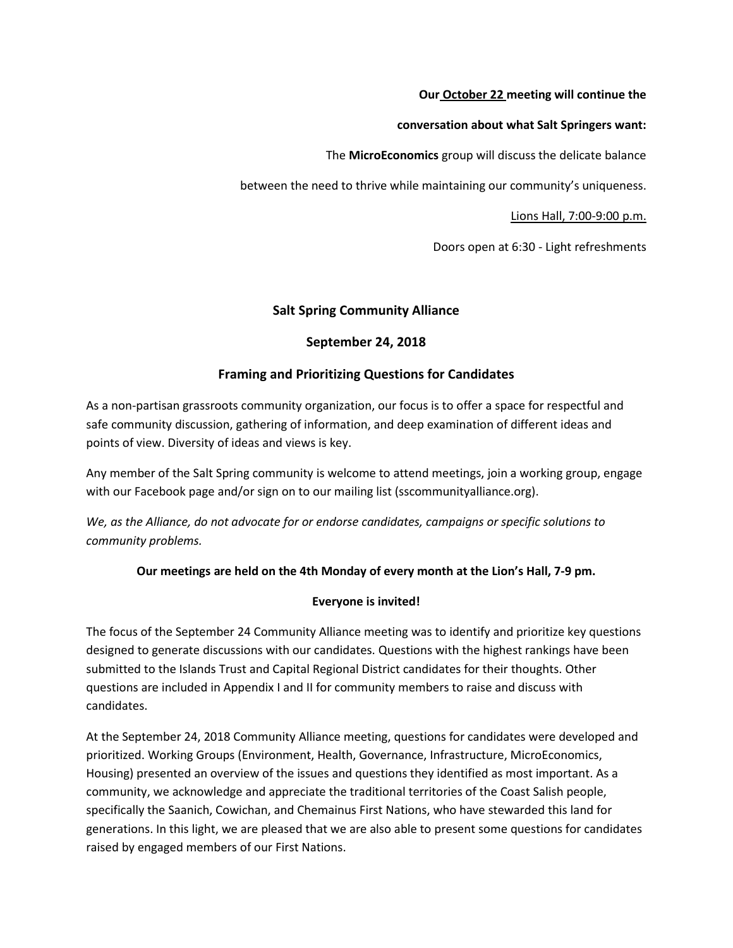#### **Our October 22 meeting will continue the**

#### **conversation about what Salt Springers want:**

The **MicroEconomics** group will discuss the delicate balance

between the need to thrive while maintaining our community's uniqueness.

Lions Hall, 7:00-9:00 p.m.

Doors open at 6:30 - Light refreshments

# **Salt Spring Community Alliance**

#### **September 24, 2018**

# **Framing and Prioritizing Questions for Candidates**

As a non-partisan grassroots community organization, our focus is to offer a space for respectful and safe community discussion, gathering of information, and deep examination of different ideas and points of view. Diversity of ideas and views is key.

Any member of the Salt Spring community is welcome to attend meetings, join a working group, engage with our Facebook page and/or sign on to our mailing list (sscommunityalliance.org).

*We, as the Alliance, do not advocate for or endorse candidates, campaigns or specific solutions to community problems.*

#### **Our meetings are held on the 4th Monday of every month at the Lion's Hall, 7-9 pm.**

#### **Everyone is invited!**

The focus of the September 24 Community Alliance meeting was to identify and prioritize key questions designed to generate discussions with our candidates. Questions with the highest rankings have been submitted to the Islands Trust and Capital Regional District candidates for their thoughts. Other questions are included in Appendix I and II for community members to raise and discuss with candidates.

At the September 24, 2018 Community Alliance meeting, questions for candidates were developed and prioritized. Working Groups (Environment, Health, Governance, Infrastructure, MicroEconomics, Housing) presented an overview of the issues and questions they identified as most important. As a community, we acknowledge and appreciate the traditional territories of the Coast Salish people, specifically the Saanich, Cowichan, and Chemainus First Nations, who have stewarded this land for generations. In this light, we are pleased that we are also able to present some questions for candidates raised by engaged members of our First Nations.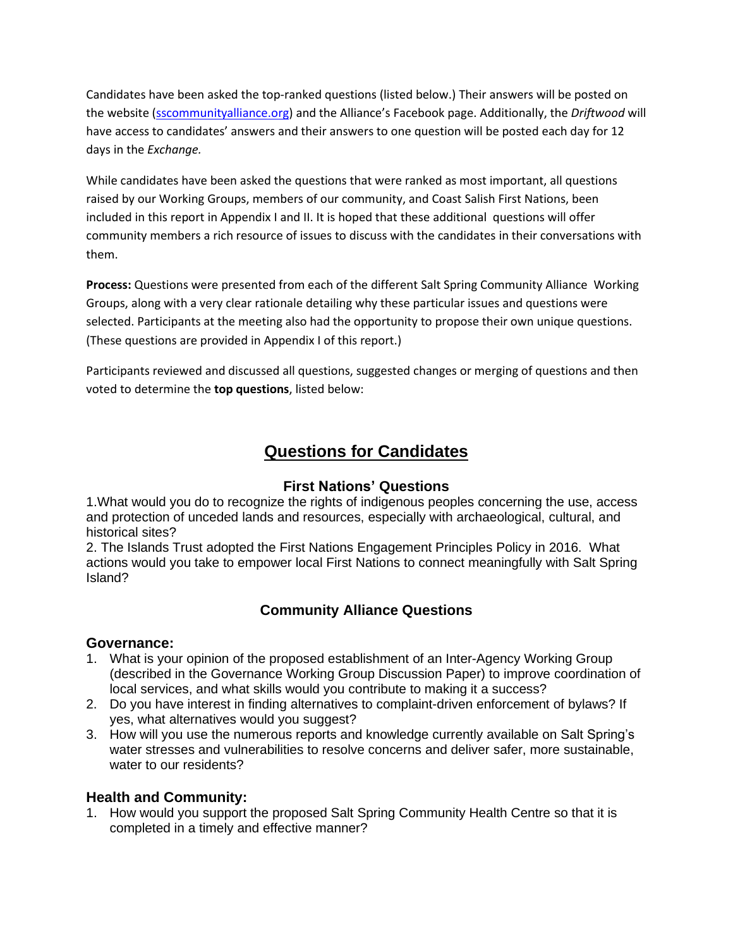Candidates have been asked the top-ranked questions (listed below.) Their answers will be posted on the website [\(sscommunityalliance.org\)](http://sscommunityalliance.org/) and the Alliance's Facebook page. Additionally, the *Driftwood* will have access to candidates' answers and their answers to one question will be posted each day for 12 days in the *Exchange.*

While candidates have been asked the questions that were ranked as most important, all questions raised by our Working Groups, members of our community, and Coast Salish First Nations, been included in this report in Appendix I and II. It is hoped that these additional questions will offer community members a rich resource of issues to discuss with the candidates in their conversations with them.

**Process:** Questions were presented from each of the different Salt Spring Community Alliance Working Groups, along with a very clear rationale detailing why these particular issues and questions were selected. Participants at the meeting also had the opportunity to propose their own unique questions. (These questions are provided in Appendix I of this report.)

Participants reviewed and discussed all questions, suggested changes or merging of questions and then voted to determine the **top questions**, listed below:

# **Questions for Candidates**

# **First Nations' Questions**

1.What would you do to recognize the rights of indigenous peoples concerning the use, access and protection of unceded lands and resources, especially with archaeological, cultural, and historical sites?

2. The Islands Trust adopted the First Nations Engagement Principles Policy in 2016. What actions would you take to empower local First Nations to connect meaningfully with Salt Spring Island?

# **Community Alliance Questions**

# **Governance:**

- 1. What is your opinion of the proposed establishment of an Inter-Agency Working Group (described in the Governance Working Group Discussion Paper) to improve coordination of local services, and what skills would you contribute to making it a success?
- 2. Do you have interest in finding alternatives to complaint-driven enforcement of bylaws? If yes, what alternatives would you suggest?
- 3. How will you use the numerous reports and knowledge currently available on Salt Spring's water stresses and vulnerabilities to resolve concerns and deliver safer, more sustainable, water to our residents?

# **Health and Community:**

1. How would you support the proposed Salt Spring Community Health Centre so that it is completed in a timely and effective manner?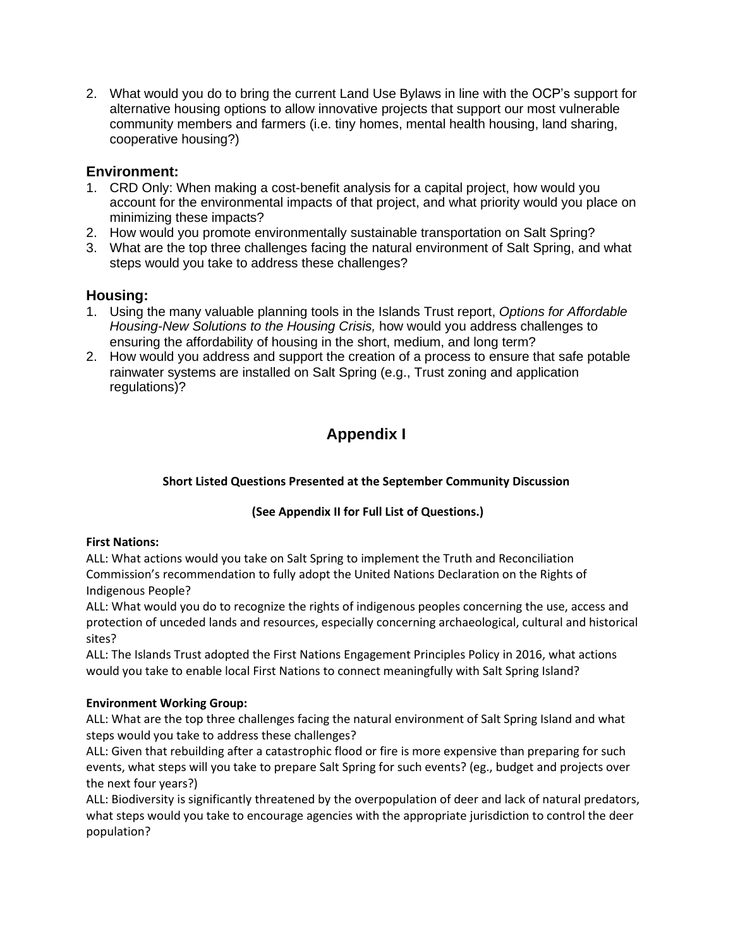2. What would you do to bring the current Land Use Bylaws in line with the OCP's support for alternative housing options to allow innovative projects that support our most vulnerable community members and farmers (i.e. tiny homes, mental health housing, land sharing, cooperative housing?)

# **Environment:**

- 1. CRD Only: When making a cost-benefit analysis for a capital project, how would you account for the environmental impacts of that project, and what priority would you place on minimizing these impacts?
- 2. How would you promote environmentally sustainable transportation on Salt Spring?
- 3. What are the top three challenges facing the natural environment of Salt Spring, and what steps would you take to address these challenges?

# **Housing:**

- 1. Using the many valuable planning tools in the Islands Trust report, *Options for Affordable Housing-New Solutions to the Housing Crisis,* how would you address challenges to ensuring the affordability of housing in the short, medium, and long term?
- 2. How would you address and support the creation of a process to ensure that safe potable rainwater systems are installed on Salt Spring (e.g., Trust zoning and application regulations)?

# **Appendix I**

# **Short Listed Questions Presented at the September Community Discussion**

# **(See Appendix II for Full List of Questions.)**

# **First Nations:**

ALL: What actions would you take on Salt Spring to implement the Truth and Reconciliation Commission's recommendation to fully adopt the United Nations Declaration on the Rights of Indigenous People?

ALL: What would you do to recognize the rights of indigenous peoples concerning the use, access and protection of unceded lands and resources, especially concerning archaeological, cultural and historical sites?

ALL: The Islands Trust adopted the First Nations Engagement Principles Policy in 2016, what actions would you take to enable local First Nations to connect meaningfully with Salt Spring Island?

# **Environment Working Group:**

ALL: What are the top three challenges facing the natural environment of Salt Spring Island and what steps would you take to address these challenges?

ALL: Given that rebuilding after a catastrophic flood or fire is more expensive than preparing for such events, what steps will you take to prepare Salt Spring for such events? (eg., budget and projects over the next four years?)

ALL: Biodiversity is significantly threatened by the overpopulation of deer and lack of natural predators, what steps would you take to encourage agencies with the appropriate jurisdiction to control the deer population?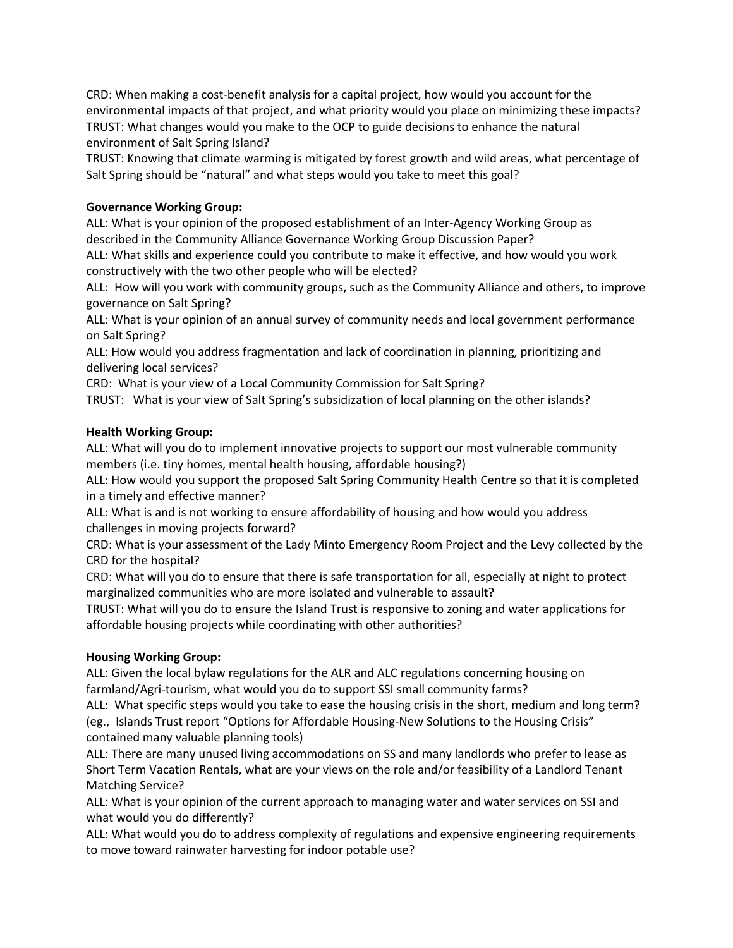CRD: When making a cost-benefit analysis for a capital project, how would you account for the environmental impacts of that project, and what priority would you place on minimizing these impacts? TRUST: What changes would you make to the OCP to guide decisions to enhance the natural environment of Salt Spring Island?

TRUST: Knowing that climate warming is mitigated by forest growth and wild areas, what percentage of Salt Spring should be "natural" and what steps would you take to meet this goal?

# **Governance Working Group:**

ALL: What is your opinion of the proposed establishment of an Inter-Agency Working Group as described in the Community Alliance Governance Working Group Discussion Paper?

ALL: What skills and experience could you contribute to make it effective, and how would you work constructively with the two other people who will be elected?

ALL: How will you work with community groups, such as the Community Alliance and others, to improve governance on Salt Spring?

ALL: What is your opinion of an annual survey of community needs and local government performance on Salt Spring?

ALL: How would you address fragmentation and lack of coordination in planning, prioritizing and delivering local services?

CRD: What is your view of a Local Community Commission for Salt Spring?

TRUST: What is your view of Salt Spring's subsidization of local planning on the other islands?

#### **Health Working Group:**

ALL: What will you do to implement innovative projects to support our most vulnerable community members (i.e. tiny homes, mental health housing, affordable housing?)

ALL: How would you support the proposed Salt Spring Community Health Centre so that it is completed in a timely and effective manner?

ALL: What is and is not working to ensure affordability of housing and how would you address challenges in moving projects forward?

CRD: What is your assessment of the Lady Minto Emergency Room Project and the Levy collected by the CRD for the hospital?

CRD: What will you do to ensure that there is safe transportation for all, especially at night to protect marginalized communities who are more isolated and vulnerable to assault?

TRUST: What will you do to ensure the Island Trust is responsive to zoning and water applications for affordable housing projects while coordinating with other authorities?

# **Housing Working Group:**

ALL: Given the local bylaw regulations for the ALR and ALC regulations concerning housing on farmland/Agri-tourism, what would you do to support SSI small community farms?

ALL: What specific steps would you take to ease the housing crisis in the short, medium and long term? (eg., Islands Trust report "Options for Affordable Housing-New Solutions to the Housing Crisis" contained many valuable planning tools)

ALL: There are many unused living accommodations on SS and many landlords who prefer to lease as Short Term Vacation Rentals, what are your views on the role and/or feasibility of a Landlord Tenant Matching Service?

ALL: What is your opinion of the current approach to managing water and water services on SSI and what would you do differently?

ALL: What would you do to address complexity of regulations and expensive engineering requirements to move toward rainwater harvesting for indoor potable use?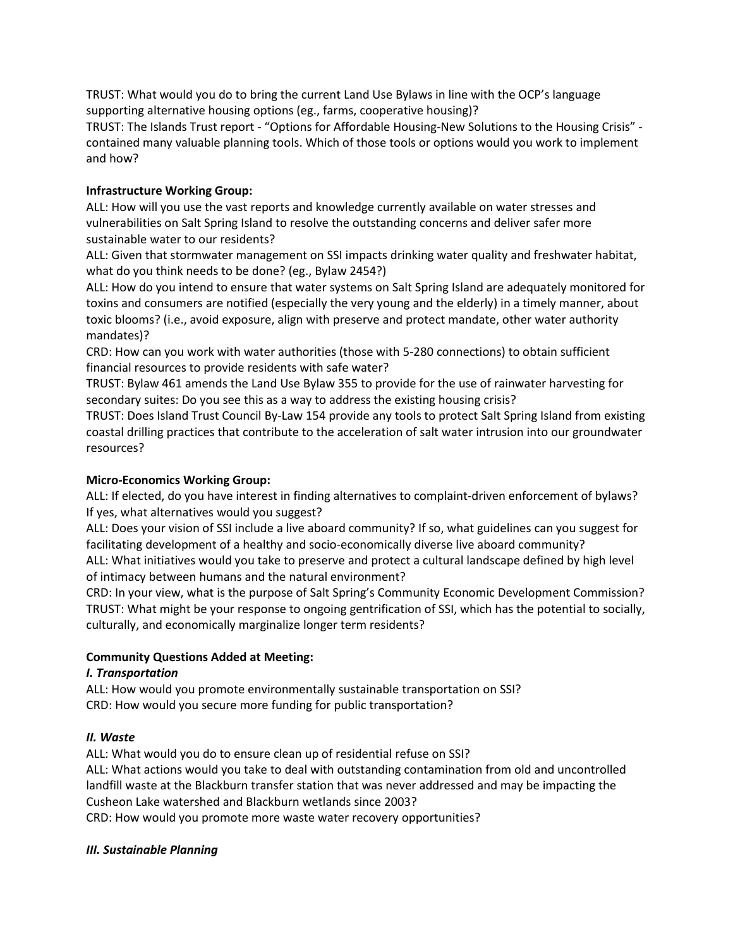TRUST: What would you do to bring the current Land Use Bylaws in line with the OCP's language supporting alternative housing options (eg., farms, cooperative housing)?

TRUST: The Islands Trust report - "Options for Affordable Housing-New Solutions to the Housing Crisis" contained many valuable planning tools. Which of those tools or options would you work to implement and how?

# **Infrastructure Working Group:**

ALL: How will you use the vast reports and knowledge currently available on water stresses and vulnerabilities on Salt Spring Island to resolve the outstanding concerns and deliver safer more sustainable water to our residents?

ALL: Given that stormwater management on SSI impacts drinking water quality and freshwater habitat, what do you think needs to be done? (eg., Bylaw 2454?)

ALL: How do you intend to ensure that water systems on Salt Spring Island are adequately monitored for toxins and consumers are notified (especially the very young and the elderly) in a timely manner, about toxic blooms? (i.e., avoid exposure, align with preserve and protect mandate, other water authority mandates)?

CRD: How can you work with water authorities (those with 5-280 connections) to obtain sufficient financial resources to provide residents with safe water?

TRUST: Bylaw 461 amends the Land Use Bylaw 355 to provide for the use of rainwater harvesting for secondary suites: Do you see this as a way to address the existing housing crisis?

TRUST: Does Island Trust Council By-Law 154 provide any tools to protect Salt Spring Island from existing coastal drilling practices that contribute to the acceleration of salt water intrusion into our groundwater resources?

# **Micro-Economics Working Group:**

ALL: If elected, do you have interest in finding alternatives to complaint-driven enforcement of bylaws? If yes, what alternatives would you suggest?

ALL: Does your vision of SSI include a live aboard community? If so, what guidelines can you suggest for facilitating development of a healthy and socio-economically diverse live aboard community?

ALL: What initiatives would you take to preserve and protect a cultural landscape defined by high level of intimacy between humans and the natural environment?

CRD: In your view, what is the purpose of Salt Spring's Community Economic Development Commission? TRUST: What might be your response to ongoing gentrification of SSI, which has the potential to socially, culturally, and economically marginalize longer term residents?

# **Community Questions Added at Meeting:**

# *I. Transportation*

ALL: How would you promote environmentally sustainable transportation on SSI? CRD: How would you secure more funding for public transportation?

#### *II. Waste*

ALL: What would you do to ensure clean up of residential refuse on SSI?

ALL: What actions would you take to deal with outstanding contamination from old and uncontrolled landfill waste at the Blackburn transfer station that was never addressed and may be impacting the Cusheon Lake watershed and Blackburn wetlands since 2003?

CRD: How would you promote more waste water recovery opportunities?

#### *III. Sustainable Planning*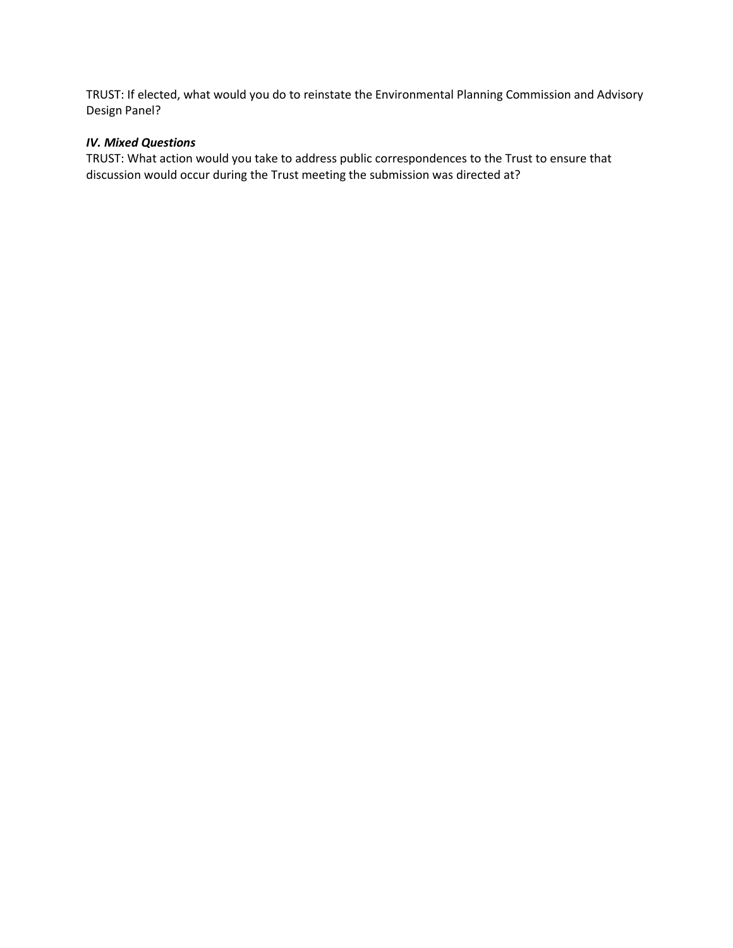TRUST: If elected, what would you do to reinstate the Environmental Planning Commission and Advisory Design Panel?

#### *IV. Mixed Questions*

TRUST: What action would you take to address public correspondences to the Trust to ensure that discussion would occur during the Trust meeting the submission was directed at?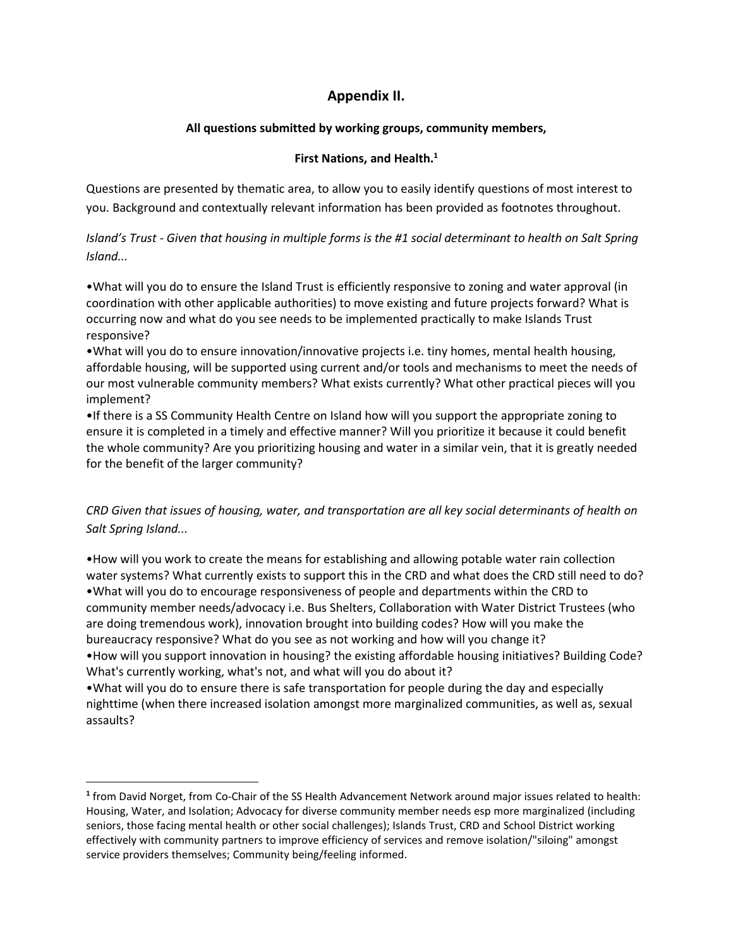# **Appendix II.**

# **All questions submitted by working groups, community members,**

#### **First Nations, and Health.<sup>1</sup>**

Questions are presented by thematic area, to allow you to easily identify questions of most interest to you. Background and contextually relevant information has been provided as footnotes throughout.

Island's Trust - Given that housing in multiple forms is the #1 social determinant to health on Salt Spring *Island...*

•What will you do to ensure the Island Trust is efficiently responsive to zoning and water approval (in coordination with other applicable authorities) to move existing and future projects forward? What is occurring now and what do you see needs to be implemented practically to make Islands Trust responsive?

•What will you do to ensure innovation/innovative projects i.e. tiny homes, mental health housing, affordable housing, will be supported using current and/or tools and mechanisms to meet the needs of our most vulnerable community members? What exists currently? What other practical pieces will you implement?

•If there is a SS Community Health Centre on Island how will you support the appropriate zoning to ensure it is completed in a timely and effective manner? Will you prioritize it because it could benefit the whole community? Are you prioritizing housing and water in a similar vein, that it is greatly needed for the benefit of the larger community?

# *CRD Given that issues of housing, water, and transportation are all key social determinants of health on Salt Spring Island...*

•How will you work to create the means for establishing and allowing potable water rain collection water systems? What currently exists to support this in the CRD and what does the CRD still need to do? •What will you do to encourage responsiveness of people and departments within the CRD to community member needs/advocacy i.e. Bus Shelters, Collaboration with Water District Trustees (who are doing tremendous work), innovation brought into building codes? How will you make the bureaucracy responsive? What do you see as not working and how will you change it? •How will you support innovation in housing? the existing affordable housing initiatives? Building Code? What's currently working, what's not, and what will you do about it? •What will you do to ensure there is safe transportation for people during the day and especially nighttime (when there increased isolation amongst more marginalized communities, as well as, sexual

assaults?

**<sup>1</sup>** from David Norget, from Co-Chair of the SS Health Advancement Network around major issues related to health: Housing, Water, and Isolation; Advocacy for diverse community member needs esp more marginalized (including seniors, those facing mental health or other social challenges); Islands Trust, CRD and School District working effectively with community partners to improve efficiency of services and remove isolation/"siloing" amongst service providers themselves; Community being/feeling informed.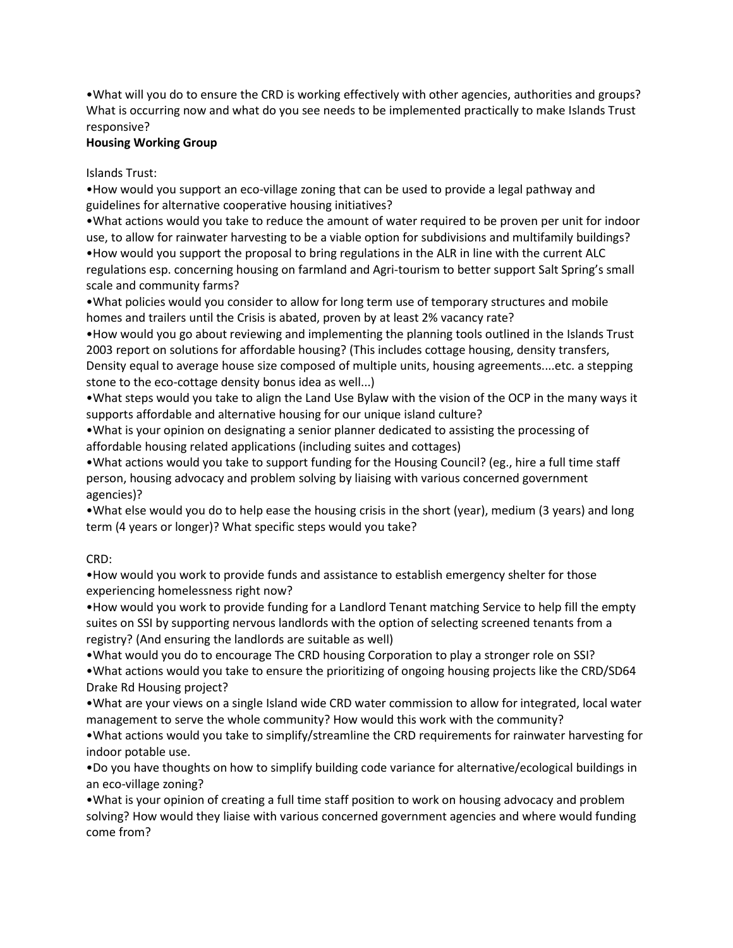•What will you do to ensure the CRD is working effectively with other agencies, authorities and groups? What is occurring now and what do you see needs to be implemented practically to make Islands Trust responsive?

#### **Housing Working Group**

Islands Trust:

•How would you support an eco-village zoning that can be used to provide a legal pathway and guidelines for alternative cooperative housing initiatives?

•What actions would you take to reduce the amount of water required to be proven per unit for indoor use, to allow for rainwater harvesting to be a viable option for subdivisions and multifamily buildings? •How would you support the proposal to bring regulations in the ALR in line with the current ALC regulations esp. concerning housing on farmland and Agri-tourism to better support Salt Spring's small scale and community farms?

•What policies would you consider to allow for long term use of temporary structures and mobile homes and trailers until the Crisis is abated, proven by at least 2% vacancy rate?

•How would you go about reviewing and implementing the planning tools outlined in the Islands Trust 2003 report on solutions for affordable housing? (This includes cottage housing, density transfers, Density equal to average house size composed of multiple units, housing agreements....etc. a stepping stone to the eco-cottage density bonus idea as well...)

•What steps would you take to align the Land Use Bylaw with the vision of the OCP in the many ways it supports affordable and alternative housing for our unique island culture?

•What is your opinion on designating a senior planner dedicated to assisting the processing of affordable housing related applications (including suites and cottages)

•What actions would you take to support funding for the Housing Council? (eg., hire a full time staff person, housing advocacy and problem solving by liaising with various concerned government agencies)?

•What else would you do to help ease the housing crisis in the short (year), medium (3 years) and long term (4 years or longer)? What specific steps would you take?

CRD:

•How would you work to provide funds and assistance to establish emergency shelter for those experiencing homelessness right now?

•How would you work to provide funding for a Landlord Tenant matching Service to help fill the empty suites on SSI by supporting nervous landlords with the option of selecting screened tenants from a registry? (And ensuring the landlords are suitable as well)

•What would you do to encourage The CRD housing Corporation to play a stronger role on SSI? •What actions would you take to ensure the prioritizing of ongoing housing projects like the CRD/SD64 Drake Rd Housing project?

•What are your views on a single Island wide CRD water commission to allow for integrated, local water management to serve the whole community? How would this work with the community?

•What actions would you take to simplify/streamline the CRD requirements for rainwater harvesting for indoor potable use.

•Do you have thoughts on how to simplify building code variance for alternative/ecological buildings in an eco-village zoning?

•What is your opinion of creating a full time staff position to work on housing advocacy and problem solving? How would they liaise with various concerned government agencies and where would funding come from?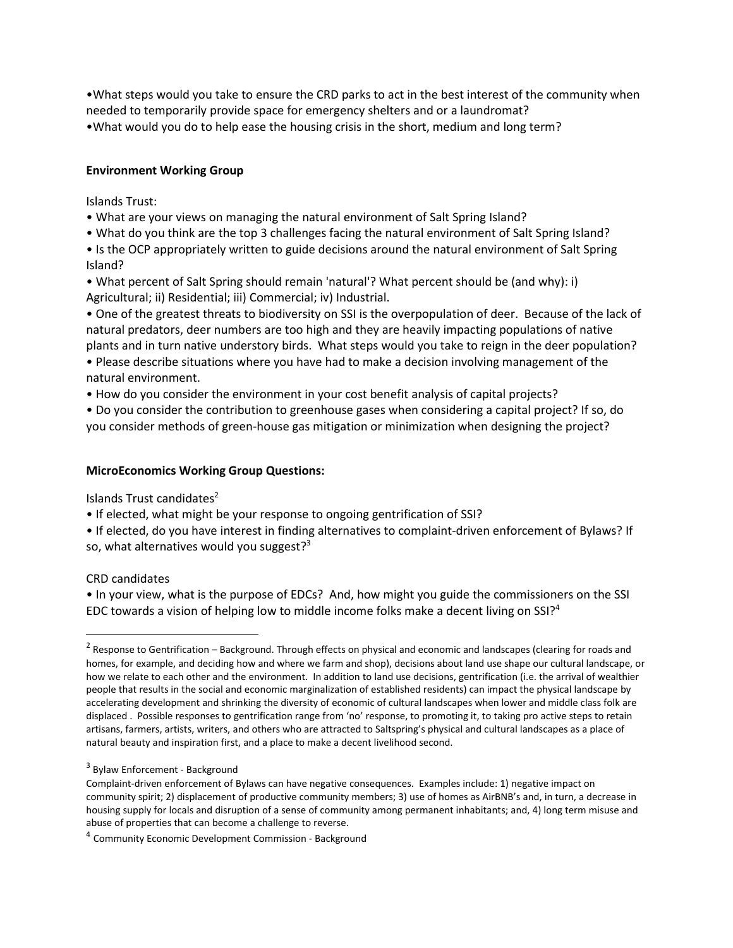•What steps would you take to ensure the CRD parks to act in the best interest of the community when needed to temporarily provide space for emergency shelters and or a laundromat? •What would you do to help ease the housing crisis in the short, medium and long term?

#### **Environment Working Group**

Islands Trust:

- What are your views on managing the natural environment of Salt Spring Island?
- What do you think are the top 3 challenges facing the natural environment of Salt Spring Island?

• Is the OCP appropriately written to guide decisions around the natural environment of Salt Spring Island?

• What percent of Salt Spring should remain 'natural'? What percent should be (and why): i) Agricultural; ii) Residential; iii) Commercial; iv) Industrial.

• One of the greatest threats to biodiversity on SSI is the overpopulation of deer. Because of the lack of natural predators, deer numbers are too high and they are heavily impacting populations of native plants and in turn native understory birds. What steps would you take to reign in the deer population?

• Please describe situations where you have had to make a decision involving management of the natural environment.

• How do you consider the environment in your cost benefit analysis of capital projects?

• Do you consider the contribution to greenhouse gases when considering a capital project? If so, do you consider methods of green-house gas mitigation or minimization when designing the project?

#### **MicroEconomics Working Group Questions:**

Islands Trust candidates<sup>2</sup>

• If elected, what might be your response to ongoing gentrification of SSI?

• If elected, do you have interest in finding alternatives to complaint-driven enforcement of Bylaws? If so, what alternatives would you suggest? $3$ 

CRD candidates

• In your view, what is the purpose of EDCs? And, how might you guide the commissioners on the SSI EDC towards a vision of helping low to middle income folks make a decent living on  $SSI<sup>4</sup>$ 

<sup>&</sup>lt;sup>2</sup> Response to Gentrification – Background. Through effects on physical and economic and landscapes (clearing for roads and homes, for example, and deciding how and where we farm and shop), decisions about land use shape our cultural landscape, or how we relate to each other and the environment. In addition to land use decisions, gentrification (i.e. the arrival of wealthier people that results in the social and economic marginalization of established residents) can impact the physical landscape by accelerating development and shrinking the diversity of economic of cultural landscapes when lower and middle class folk are displaced . Possible responses to gentrification range from 'no' response, to promoting it, to taking pro active steps to retain artisans, farmers, artists, writers, and others who are attracted to Saltspring's physical and cultural landscapes as a place of natural beauty and inspiration first, and a place to make a decent livelihood second.

<sup>&</sup>lt;sup>3</sup> Bylaw Enforcement - Background

Complaint-driven enforcement of Bylaws can have negative consequences. Examples include: 1) negative impact on community spirit; 2) displacement of productive community members; 3) use of homes as AirBNB's and, in turn, a decrease in housing supply for locals and disruption of a sense of community among permanent inhabitants; and, 4) long term misuse and abuse of properties that can become a challenge to reverse.

<sup>&</sup>lt;sup>4</sup> Community Economic Development Commission - Background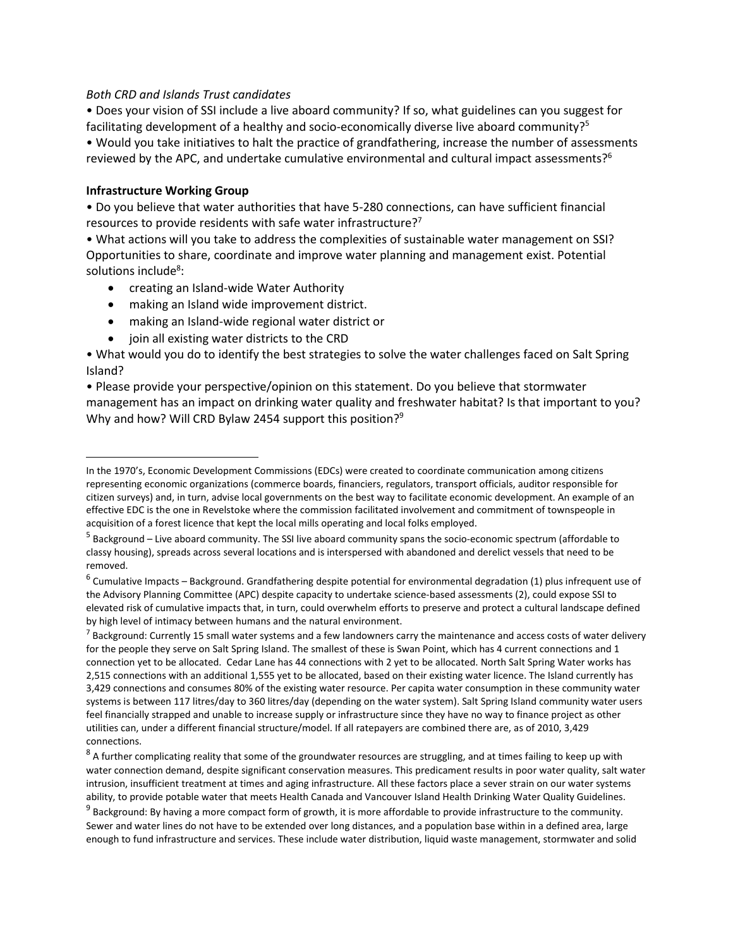#### *Both CRD and Islands Trust candidates*

• Does your vision of SSI include a live aboard community? If so, what guidelines can you suggest for facilitating development of a healthy and socio-economically diverse live aboard community?<sup>5</sup> • Would you take initiatives to halt the practice of grandfathering, increase the number of assessments reviewed by the APC, and undertake cumulative environmental and cultural impact assessments?<sup>6</sup>

#### **Infrastructure Working Group**

• Do you believe that water authorities that have 5-280 connections, can have sufficient financial resources to provide residents with safe water infrastructure?<sup>7</sup>

• What actions will you take to address the complexities of sustainable water management on SSI? Opportunities to share, coordinate and improve water planning and management exist. Potential solutions include<sup>8</sup>:

- creating an Island-wide Water Authority
- making an Island wide improvement district.
- making an Island-wide regional water district or
- join all existing water districts to the CRD

• What would you do to identify the best strategies to solve the water challenges faced on Salt Spring Island?

• Please provide your perspective/opinion on this statement. Do you believe that stormwater management has an impact on drinking water quality and freshwater habitat? Is that important to you? Why and how? Will CRD Bylaw 2454 support this position?<sup>9</sup>

 $^7$  Background: Currently 15 small water systems and a few landowners carry the maintenance and access costs of water delivery for the people they serve on Salt Spring Island. The smallest of these is Swan Point, which has 4 current connections and 1 connection yet to be allocated. Cedar Lane has 44 connections with 2 yet to be allocated. North Salt Spring Water works has 2,515 connections with an additional 1,555 yet to be allocated, based on their existing water licence. The Island currently has 3,429 connections and consumes 80% of the existing water resource. Per capita water consumption in these community water systems is between 117 litres/day to 360 litres/day (depending on the water system). Salt Spring Island community water users feel financially strapped and unable to increase supply or infrastructure since they have no way to finance project as other utilities can, under a different financial structure/model. If all ratepayers are combined there are, as of 2010, 3,429 connections.

 $^8$  A further complicating reality that some of the groundwater resources are struggling, and at times failing to keep up with water connection demand, despite significant conservation measures. This predicament results in poor water quality, salt water intrusion, insufficient treatment at times and aging infrastructure. All these factors place a sever strain on our water systems ability, to provide potable water that meets Health Canada and Vancouver Island Health Drinking Water Quality Guidelines.

<sup>9</sup> Background: By having a more compact form of growth, it is more affordable to provide infrastructure to the community. Sewer and water lines do not have to be extended over long distances, and a population base within in a defined area, large enough to fund infrastructure and services. These include water distribution, liquid waste management, stormwater and solid

In the 1970's, Economic Development Commissions (EDCs) were created to coordinate communication among citizens representing economic organizations (commerce boards, financiers, regulators, transport officials, auditor responsible for citizen surveys) and, in turn, advise local governments on the best way to facilitate economic development. An example of an effective EDC is the one in Revelstoke where the commission facilitated involvement and commitment of townspeople in acquisition of a forest licence that kept the local mills operating and local folks employed.

<sup>&</sup>lt;sup>5</sup> Background – Live aboard community. The SSI live aboard community spans the socio-economic spectrum (affordable to classy housing), spreads across several locations and is interspersed with abandoned and derelict vessels that need to be removed.

<sup>&</sup>lt;sup>6</sup> Cumulative Impacts – Background. Grandfathering despite potential for environmental degradation (1) plus infrequent use of the Advisory Planning Committee (APC) despite capacity to undertake science-based assessments (2), could expose SSI to elevated risk of cumulative impacts that, in turn, could overwhelm efforts to preserve and protect a cultural landscape defined by high level of intimacy between humans and the natural environment.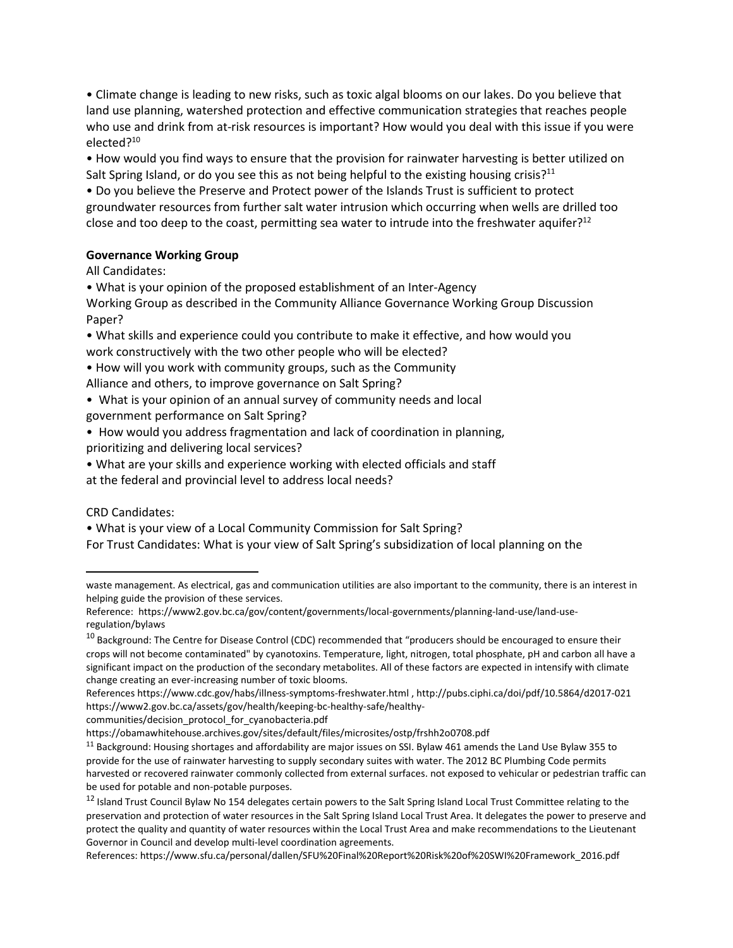• Climate change is leading to new risks, such as toxic algal blooms on our lakes. Do you believe that land use planning, watershed protection and effective communication strategies that reaches people who use and drink from at-risk resources is important? How would you deal with this issue if you were elected?<sup>10</sup>

• How would you find ways to ensure that the provision for rainwater harvesting is better utilized on Salt Spring Island, or do you see this as not being helpful to the existing housing crisis?<sup>11</sup>

• Do you believe the Preserve and Protect power of the Islands Trust is sufficient to protect groundwater resources from further salt water intrusion which occurring when wells are drilled too close and too deep to the coast, permitting sea water to intrude into the freshwater aquifer?<sup>12</sup>

#### **Governance Working Group**

All Candidates:

• What is your opinion of the proposed establishment of an Inter-Agency

Working Group as described in the Community Alliance Governance Working Group Discussion Paper?

• What skills and experience could you contribute to make it effective, and how would you work constructively with the two other people who will be elected?

• How will you work with community groups, such as the Community Alliance and others, to improve governance on Salt Spring?

• What is your opinion of an annual survey of community needs and local government performance on Salt Spring?

• How would you address fragmentation and lack of coordination in planning, prioritizing and delivering local services?

• What are your skills and experience working with elected officials and staff at the federal and provincial level to address local needs?

# CRD Candidates:

• What is your view of a Local Community Commission for Salt Spring? For Trust Candidates: What is your view of Salt Spring's subsidization of local planning on the

References https://www.cdc.gov/habs/illness-symptoms-freshwater.html , http://pubs.ciphi.ca/doi/pdf/10.5864/d2017-021 https://www2.gov.bc.ca/assets/gov/health/keeping-bc-healthy-safe/healthy-

communities/decision\_protocol\_for\_cyanobacteria.pdf

References: https://www.sfu.ca/personal/dallen/SFU%20Final%20Report%20Risk%20of%20SWI%20Framework\_2016.pdf

waste management. As electrical, gas and communication utilities are also important to the community, there is an interest in helping guide the provision of these services.

Reference: https://www2.gov.bc.ca/gov/content/governments/local-governments/planning-land-use/land-useregulation/bylaws

<sup>&</sup>lt;sup>10</sup> Background: The Centre for Disease Control (CDC) recommended that "producers should be encouraged to ensure their crops will not become contaminated" by cyanotoxins. Temperature, light, nitrogen, total phosphate, pH and carbon all have a significant impact on the production of the secondary metabolites. All of these factors are expected in intensify with climate change creating an ever-increasing number of toxic blooms.

https://obamawhitehouse.archives.gov/sites/default/files/microsites/ostp/frshh2o0708.pdf

 $11$  Background: Housing shortages and affordability are major issues on SSI. Bylaw 461 amends the Land Use Bylaw 355 to provide for the use of rainwater harvesting to supply secondary suites with water. The 2012 BC Plumbing Code permits harvested or recovered rainwater commonly collected from external surfaces. not exposed to vehicular or pedestrian traffic can be used for potable and non-potable purposes.

<sup>&</sup>lt;sup>12</sup> Island Trust Council Bylaw No 154 delegates certain powers to the Salt Spring Island Local Trust Committee relating to the preservation and protection of water resources in the Salt Spring Island Local Trust Area. It delegates the power to preserve and protect the quality and quantity of water resources within the Local Trust Area and make recommendations to the Lieutenant Governor in Council and develop multi-level coordination agreements.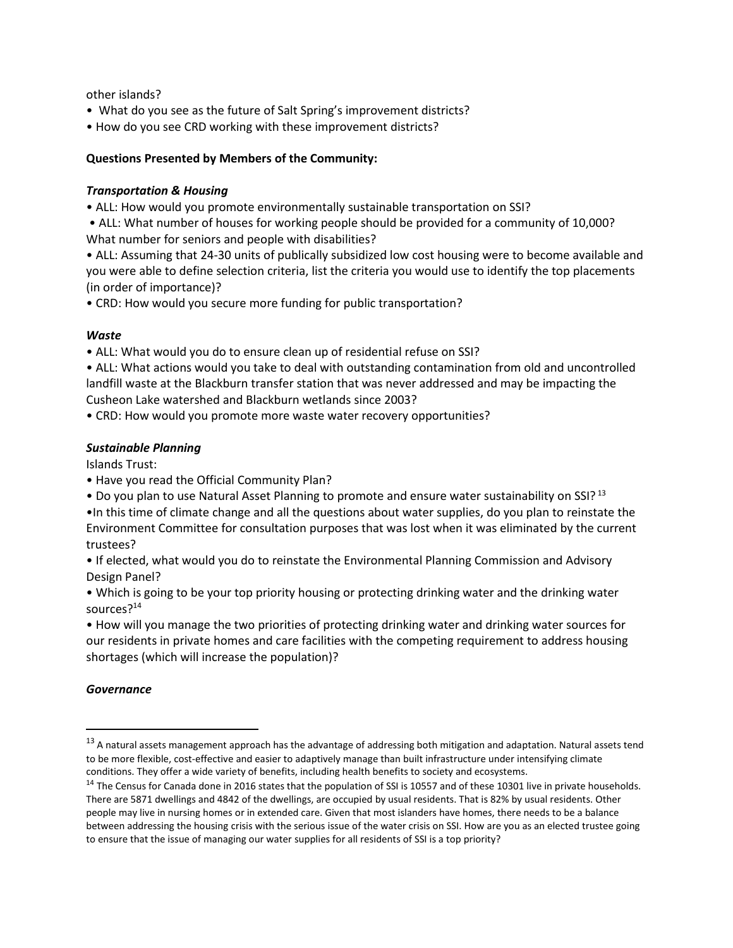other islands?

- What do you see as the future of Salt Spring's improvement districts?
- How do you see CRD working with these improvement districts?

#### **Questions Presented by Members of the Community:**

#### *Transportation & Housing*

- ALL: How would you promote environmentally sustainable transportation on SSI?
- ALL: What number of houses for working people should be provided for a community of 10,000? What number for seniors and people with disabilities?
- ALL: Assuming that 24-30 units of publically subsidized low cost housing were to become available and you were able to define selection criteria, list the criteria you would use to identify the top placements (in order of importance)?

• CRD: How would you secure more funding for public transportation?

#### *Waste*

• ALL: What would you do to ensure clean up of residential refuse on SSI?

- ALL: What actions would you take to deal with outstanding contamination from old and uncontrolled landfill waste at the Blackburn transfer station that was never addressed and may be impacting the Cusheon Lake watershed and Blackburn wetlands since 2003?
- CRD: How would you promote more waste water recovery opportunities?

#### *Sustainable Planning*

Islands Trust:

- Have you read the Official Community Plan?
- Do you plan to use Natural Asset Planning to promote and ensure water sustainability on SSI? 13
- •In this time of climate change and all the questions about water supplies, do you plan to reinstate the Environment Committee for consultation purposes that was lost when it was eliminated by the current trustees?

• If elected, what would you do to reinstate the Environmental Planning Commission and Advisory Design Panel?

• Which is going to be your top priority housing or protecting drinking water and the drinking water sources?<sup>14</sup>

• How will you manage the two priorities of protecting drinking water and drinking water sources for our residents in private homes and care facilities with the competing requirement to address housing shortages (which will increase the population)?

# *Governance*

 $13$  A natural assets management approach has the advantage of addressing both mitigation and adaptation. Natural assets tend to be more flexible, cost-effective and easier to adaptively manage than built infrastructure under intensifying climate conditions. They offer a wide variety of benefits, including health benefits to society and ecosystems.

<sup>&</sup>lt;sup>14</sup> The Census for Canada done in 2016 states that the population of SSI is 10557 and of these 10301 live in private households. There are 5871 dwellings and 4842 of the dwellings, are occupied by usual residents. That is 82% by usual residents. Other people may live in nursing homes or in extended care. Given that most islanders have homes, there needs to be a balance between addressing the housing crisis with the serious issue of the water crisis on SSI. How are you as an elected trustee going to ensure that the issue of managing our water supplies for all residents of SSI is a top priority?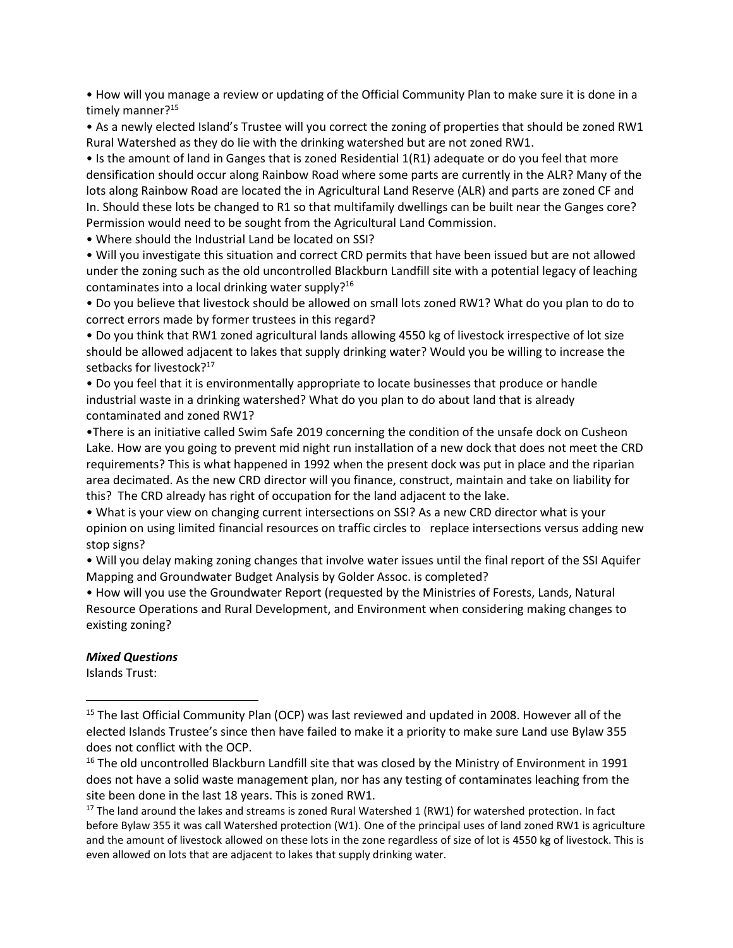• How will you manage a review or updating of the Official Community Plan to make sure it is done in a timely manner?<sup>15</sup>

• As a newly elected Island's Trustee will you correct the zoning of properties that should be zoned RW1 Rural Watershed as they do lie with the drinking watershed but are not zoned RW1.

• Is the amount of land in Ganges that is zoned Residential 1(R1) adequate or do you feel that more densification should occur along Rainbow Road where some parts are currently in the ALR? Many of the lots along Rainbow Road are located the in Agricultural Land Reserve (ALR) and parts are zoned CF and In. Should these lots be changed to R1 so that multifamily dwellings can be built near the Ganges core? Permission would need to be sought from the Agricultural Land Commission.

• Where should the Industrial Land be located on SSI?

• Will you investigate this situation and correct CRD permits that have been issued but are not allowed under the zoning such as the old uncontrolled Blackburn Landfill site with a potential legacy of leaching contaminates into a local drinking water supply? $16$ 

• Do you believe that livestock should be allowed on small lots zoned RW1? What do you plan to do to correct errors made by former trustees in this regard?

• Do you think that RW1 zoned agricultural lands allowing 4550 kg of livestock irrespective of lot size should be allowed adjacent to lakes that supply drinking water? Would you be willing to increase the setbacks for livestock?<sup>17</sup>

• Do you feel that it is environmentally appropriate to locate businesses that produce or handle industrial waste in a drinking watershed? What do you plan to do about land that is already contaminated and zoned RW1?

•There is an initiative called Swim Safe 2019 concerning the condition of the unsafe dock on Cusheon Lake. How are you going to prevent mid night run installation of a new dock that does not meet the CRD requirements? This is what happened in 1992 when the present dock was put in place and the riparian area decimated. As the new CRD director will you finance, construct, maintain and take on liability for this? The CRD already has right of occupation for the land adjacent to the lake.

• What is your view on changing current intersections on SSI? As a new CRD director what is your opinion on using limited financial resources on traffic circles to replace intersections versus adding new stop signs?

• Will you delay making zoning changes that involve water issues until the final report of the SSI Aquifer Mapping and Groundwater Budget Analysis by Golder Assoc. is completed?

• How will you use the Groundwater Report (requested by the Ministries of Forests, Lands, Natural Resource Operations and Rural Development, and Environment when considering making changes to existing zoning?

#### *Mixed Questions*

Islands Trust:

<sup>&</sup>lt;sup>15</sup> The last Official Community Plan (OCP) was last reviewed and updated in 2008. However all of the elected Islands Trustee's since then have failed to make it a priority to make sure Land use Bylaw 355 does not conflict with the OCP.

<sup>&</sup>lt;sup>16</sup> The old uncontrolled Blackburn Landfill site that was closed by the Ministry of Environment in 1991 does not have a solid waste management plan, nor has any testing of contaminates leaching from the site been done in the last 18 years. This is zoned RW1.

 $17$  The land around the lakes and streams is zoned Rural Watershed 1 (RW1) for watershed protection. In fact before Bylaw 355 it was call Watershed protection (W1). One of the principal uses of land zoned RW1 is agriculture and the amount of livestock allowed on these lots in the zone regardless of size of lot is 4550 kg of livestock. This is even allowed on lots that are adjacent to lakes that supply drinking water.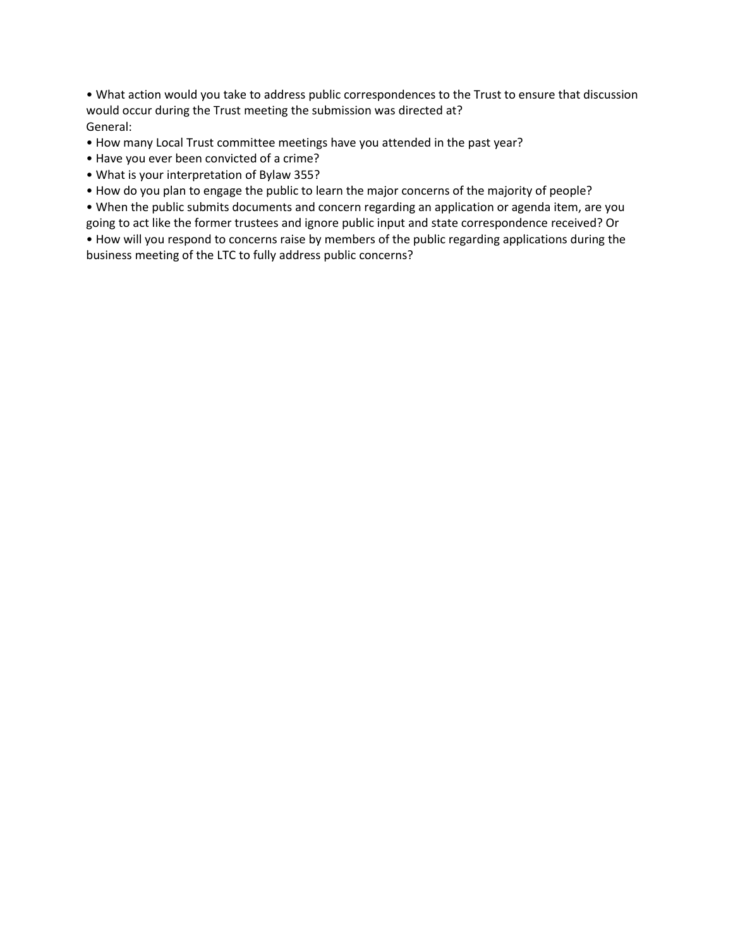• What action would you take to address public correspondences to the Trust to ensure that discussion would occur during the Trust meeting the submission was directed at? General:

- How many Local Trust committee meetings have you attended in the past year?
- Have you ever been convicted of a crime?
- What is your interpretation of Bylaw 355?
- How do you plan to engage the public to learn the major concerns of the majority of people?

• When the public submits documents and concern regarding an application or agenda item, are you going to act like the former trustees and ignore public input and state correspondence received? Or

• How will you respond to concerns raise by members of the public regarding applications during the business meeting of the LTC to fully address public concerns?